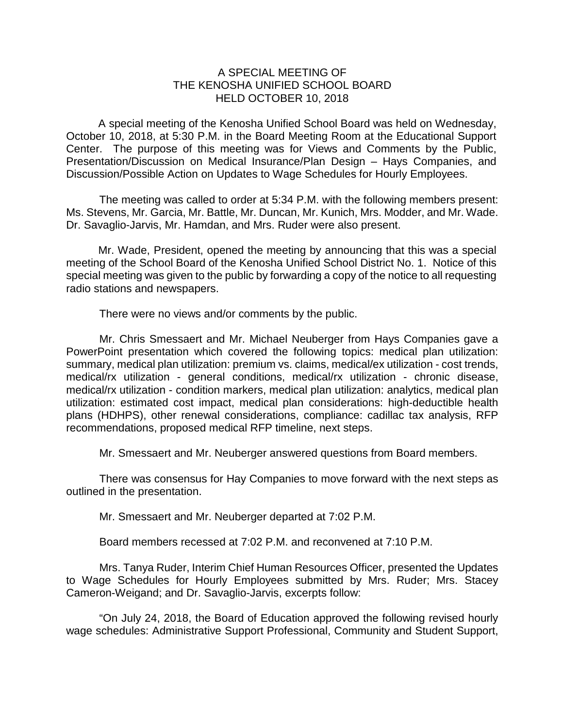## A SPECIAL MEETING OF THE KENOSHA UNIFIED SCHOOL BOARD HELD OCTOBER 10, 2018

A special meeting of the Kenosha Unified School Board was held on Wednesday, October 10, 2018, at 5:30 P.M. in the Board Meeting Room at the Educational Support Center. The purpose of this meeting was for Views and Comments by the Public, Presentation/Discussion on Medical Insurance/Plan Design – Hays Companies, and Discussion/Possible Action on Updates to Wage Schedules for Hourly Employees.

The meeting was called to order at 5:34 P.M. with the following members present: Ms. Stevens, Mr. Garcia, Mr. Battle, Mr. Duncan, Mr. Kunich, Mrs. Modder, and Mr. Wade. Dr. Savaglio-Jarvis, Mr. Hamdan, and Mrs. Ruder were also present.

Mr. Wade, President, opened the meeting by announcing that this was a special meeting of the School Board of the Kenosha Unified School District No. 1. Notice of this special meeting was given to the public by forwarding a copy of the notice to all requesting radio stations and newspapers.

There were no views and/or comments by the public.

Mr. Chris Smessaert and Mr. Michael Neuberger from Hays Companies gave a PowerPoint presentation which covered the following topics: medical plan utilization: summary, medical plan utilization: premium vs. claims, medical/ex utilization - cost trends, medical/rx utilization - general conditions, medical/rx utilization - chronic disease, medical/rx utilization - condition markers, medical plan utilization: analytics, medical plan utilization: estimated cost impact, medical plan considerations: high-deductible health plans (HDHPS), other renewal considerations, compliance: cadillac tax analysis, RFP recommendations, proposed medical RFP timeline, next steps.

Mr. Smessaert and Mr. Neuberger answered questions from Board members.

There was consensus for Hay Companies to move forward with the next steps as outlined in the presentation.

Mr. Smessaert and Mr. Neuberger departed at 7:02 P.M.

Board members recessed at 7:02 P.M. and reconvened at 7:10 P.M.

Mrs. Tanya Ruder, Interim Chief Human Resources Officer, presented the Updates to Wage Schedules for Hourly Employees submitted by Mrs. Ruder; Mrs. Stacey Cameron-Weigand; and Dr. Savaglio-Jarvis, excerpts follow:

"On July 24, 2018, the Board of Education approved the following revised hourly wage schedules: Administrative Support Professional, Community and Student Support,